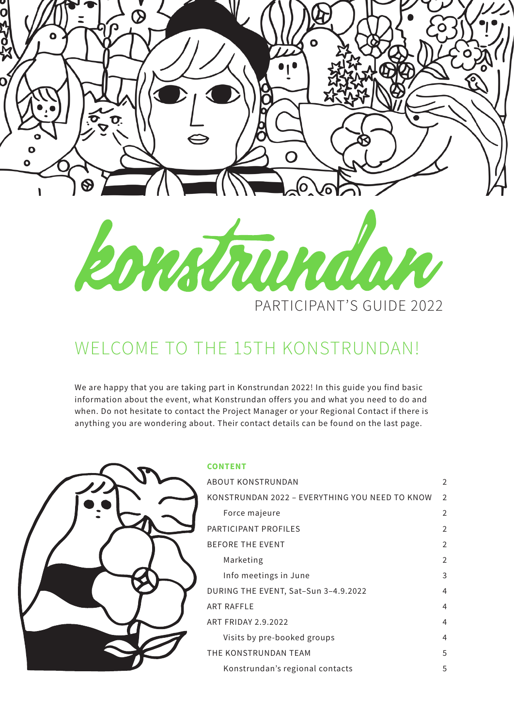

PARTICIPANT'S GUIDE 2022

### WELCOME TO THE 15TH KONSTRUNDAN!

We are happy that you are taking part in Konstrundan 2022! In this guide you find basic information about the event, what Konstrundan offers you and what you need to do and when. Do not hesitate to contact the Project Manager or your Regional Contact if there is anything you are wondering about. Their contact details can be found on the last page.



#### CONTENT

| ABOUT KONSTRUNDAN                              | $\overline{2}$ |
|------------------------------------------------|----------------|
| KONSTRUNDAN 2022 - EVERYTHING YOU NEED TO KNOW | $\overline{2}$ |
| Force majeure                                  | $\overline{2}$ |
| PARTICIPANT PROFILES                           | $\overline{2}$ |
| <b>BEFORE THE EVENT</b>                        | $\overline{2}$ |
| Marketing                                      | $\overline{2}$ |
| Info meetings in June                          | 3              |
| DURING THE EVENT, Sat-Sun 3-4.9.2022           | 4              |
| <b>ART RAFFLE</b>                              | 4              |
| <b>ART FRIDAY 2.9.2022</b>                     | 4              |
| Visits by pre-booked groups                    | 4              |
| THE KONSTRUNDAN TEAM                           | 5              |
| Konstrundan's regional contacts                | 5              |
|                                                |                |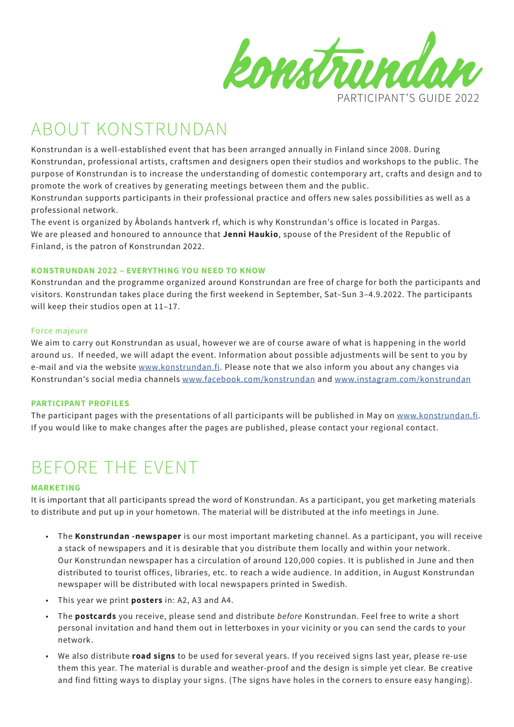bowstr PARTICIPANT'S GUIDE 2022

### ABOUT KONSTRUNDAN

Konstrundan is a well-established event that has been arranged annually in Finland since 2008. During Konstrundan, professional artists, craftsmen and designers open their studios and workshops to the public. The purpose of Konstrundan is to increase the understanding of domestic contemporary art, crafts and design and to promote the work of creatives by generating meetings between them and the public.

Konstrundan supports participants in their professional practice and offers new sales possibilities as well as a professional network.

The event is organized by Åbolands hantverk rf, which is why Konstrundan's office is located in Pargas. We are pleased and honoured to announce that Jenni Haukio, spouse of the President of the Republic of Finland, is the patron of Konstrundan 2022.

#### KONSTRUNDAN 2022 – EVERYTHING YOU NEED TO KNOW

Konstrundan and the programme organized around Konstrundan are free of charge for both the participants and visitors. Konstrundan takes place during the first weekend in September, Sat–Sun 3–4.9.2022. The participants will keep their studios open at 11–17.

#### Force majeure

We aim to carry out Konstrundan as usual, however we are of course aware of what is happening in the world around us. If needed, we will adapt the event. Information about possible adjustments will be sent to you by e-mail and via the website www.konstrundan.fi. Please note that we also inform you about any changes via Konstrundan's social media channels www.facebook.com/konstrundan and www.instagram.com/konstrundan

#### PARTICIPANT PROFILES

The participant pages with the presentations of all participants will be published in May on www.konstrundan.fi. If you would like to make changes after the pages are published, please contact your regional contact.

# BEFORE THE EVENT

#### MARKETING

It is important that all participants spread the word of Konstrundan. As a participant, you get marketing materials to distribute and put up in your hometown. The material will be distributed at the info meetings in June.

- The Konstrundan -newspaper is our most important marketing channel. As a participant, you will receive a stack of newspapers and it is desirable that you distribute them locally and within your network. Our Konstrundan newspaper has a circulation of around 120,000 copies. It is published in June and then distributed to tourist offices, libraries, etc. to reach a wide audience. In addition, in August Konstrundan newspaper will be distributed with local newspapers printed in Swedish.
- $\cdot$  This year we print **posters** in: A2, A3 and A4.
- The postcards you receive, please send and distribute *before* Konstrundan. Feel free to write a short personal invitation and hand them out in letterboxes in your vicinity or you can send the cards to your network.
- We also distribute road signs to be used for several years. If you received signs last year, please re-use them this year. The material is durable and weather-proof and the design is simple yet clear. Be creative and find fitting ways to display your signs. (The signs have holes in the corners to ensure easy hanging).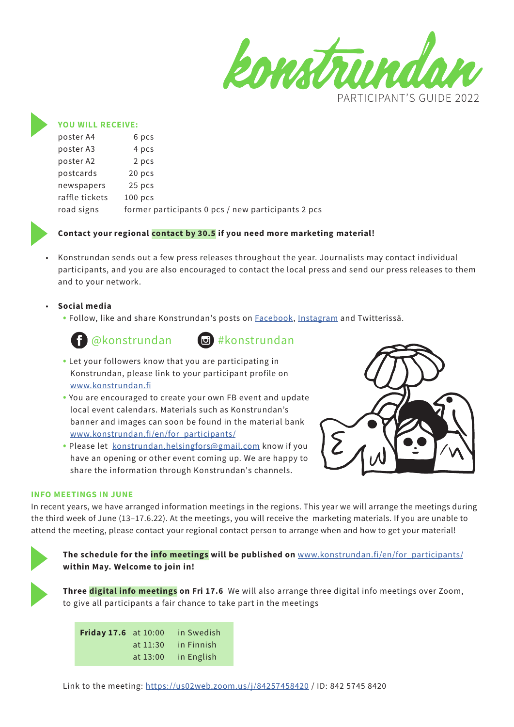

#### YOU WILL RECEIVE:

| poster A4      | 6 pcs                                              |
|----------------|----------------------------------------------------|
| poster A3      | 4 pcs                                              |
| poster A2      | 2 pcs                                              |
| postcards      | 20 pcs                                             |
| newspapers     | 25 pcs                                             |
| raffle tickets | $100$ pcs                                          |
| road signs     | former participants 0 pcs / new participants 2 pcs |



#### Contact your regional contact by 30.5 if you need more marketing material!

- Konstrundan sends out a few press releases throughout the year. Journalists may contact individual participants, and you are also encouraged to contact the local press and send our press releases to them and to your network.
- Social media
	- Follow, like and share Konstrundan's posts on Facebook, Instagram and Twitterissä.



### G @konstrundan @ #konstrundan

- Let your followers know that you are participating in Konstrundan, please link to your participant profile on www.konstrundan.fi
- You are encouraged to create your own FB event and update local event calendars. Materials such as Konstrundan's banner and images can soon be found in the material bank www.konstrundan.fi/en/for\_participants/
- Please let konstrundan.helsingfors@gmail.com know if you have an opening or other event coming up. We are happy to share the information through Konstrundan's channels.

#### INFO MEETINGS IN JUNE

In recent years, we have arranged information meetings in the regions. This year we will arrange the meetings during the third week of June (13–17.6.22). At the meetings, you will receive the marketing materials. If you are unable to attend the meeting, please contact your regional contact person to arrange when and how to get your material!



The schedule for the info meetings will be published on www.konstrundan.fi/en/for\_participants/ within May. Welcome to join in!

Three **digital info meetings on Fri 17.6** We will also arrange three digital info meetings over Zoom, to give all participants a fair chance to take part in the meetings

| <b>Friday 17.6</b> at $10:00$ |            | in Swedish |
|-------------------------------|------------|------------|
|                               | at 11:30   | in Finnish |
|                               | at $13:00$ | in English |

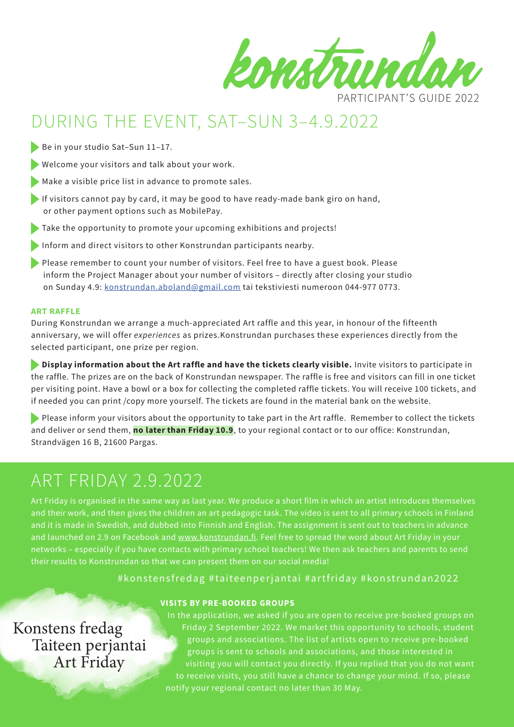

### DURING THE EVENT, SAT–SUN 3–4.9.2022

- Be in your studio Sat-Sun 11-17.
- Welcome your visitors and talk about your work.
- Make a visible price list in advance to promote sales.
- If visitors cannot pay by card, it may be good to have ready-made bank giro on hand, or other payment options such as MobilePay.
- Take the opportunity to promote your upcoming exhibitions and projects!
- Inform and direct visitors to other Konstrundan participants nearby.
- Please remember to count your number of visitors. Feel free to have a guest book. Please inform the Project Manager about your number of visitors – directly after closing your studio on Sunday 4.9: konstrundan.aboland@gmail.com tai tekstiviesti numeroon 044-977 0773.

#### ART RAFFLE

During Konstrundan we arrange a much-appreciated Art raffle and this year, in honour of the fifteenth anniversary, we will offer *experiences* as prizes.Konstrundan purchases these experiences directly from the selected participant, one prize per region.

 $\blacktriangleright$  Display information about the Art raffle and have the tickets clearly visible. Invite visitors to participate in the raffle. The prizes are on the back of Konstrundan newspaper. The raffle is free and visitors can fill in one ticket per visiting point. Have a bowl or a box for collecting the completed raffle tickets. You will receive 100 tickets, and if needed you can print /copy more yourself. The tickets are found in the material bank on the website.

Please inform your visitors about the opportunity to take part in the Art raffle. Remember to collect the tickets and deliver or send them, no later than Friday 10.9, to your regional contact or to our office: Konstrundan, Strandvägen 16 B, 21600 Pargas.

### ART FRIDAY 2.9.2022

Art Friday is organised in the same way as last year. We produce a short film in which an artist introduces themselves and their work, and then gives the children an art pedagogic task. The video is sent to all primary schools in Finland and it is made in Swedish, and dubbed into Finnish and English. The assignment is sent out to teachers in advance and launched on 2.9 on Facebook and www.konstrundan.fi. Feel free to spread the word about Art Friday in your networks – especially if you have contacts with primary school teachers! We then ask teachers and parents to send

#### #konstensfredag #taiteenperjantai #artfriday #konstrundan2022

#### VISITS BY PRE-BOOKED GROUPS

In the application, we asked if you are open to receive pre-booked groups on Friday 2 September 2022. We market this opportunity to schools, student groups and associations. The list of artists open to receive pre-booked groups is sent to schools and associations, and those interested in visiting you will contact you directly. If you replied that you do not want to receive visits, you still have a chance to change your mind. If so, please notify your regional contact no later than 30 May.

Taiteen perjantai Art Friday Konstens fredag